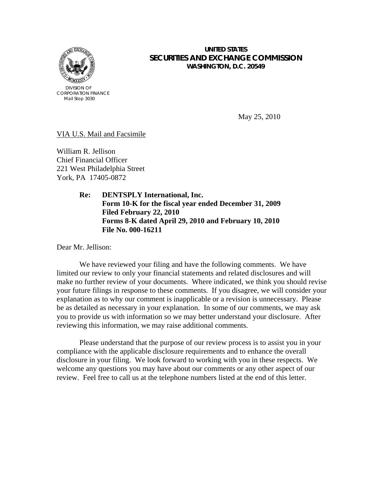

### **UNITED STATES SECURITIES AND EXCHANGE COMMISSION WASHINGTON, D.C. 20549**

CORPORATION FINANCE Mail Stop 3030

May 25, 2010

VIA U.S. Mail and Facsimile

William R. Jellison Chief Financial Officer 221 West Philadelphia Street York, PA 17405-0872

> **Re: DENTSPLY International, Inc. Form 10-K for the fiscal year ended December 31, 2009 Filed February 22, 2010 Forms 8-K dated April 29, 2010 and February 10, 2010 File No. 000-16211**

Dear Mr. Jellison:

We have reviewed your filing and have the following comments. We have limited our review to only your financial statements and related disclosures and will make no further review of your documents. Where indicated, we think you should revise your future filings in response to these comments. If you disagree, we will consider your explanation as to why our comment is inapplicable or a revision is unnecessary. Please be as detailed as necessary in your explanation. In some of our comments, we may ask you to provide us with information so we may better understand your disclosure. After reviewing this information, we may raise additional comments.

 Please understand that the purpose of our review process is to assist you in your compliance with the applicable disclosure requirements and to enhance the overall disclosure in your filing. We look forward to working with you in these respects. We welcome any questions you may have about our comments or any other aspect of our review. Feel free to call us at the telephone numbers listed at the end of this letter.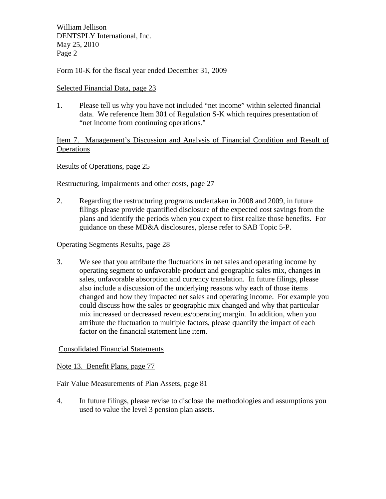William Jellison DENTSPLY International, Inc. May 25, 2010 Page 2

## Form 10-K for the fiscal year ended December 31, 2009

## Selected Financial Data, page 23

1. Please tell us why you have not included "net income" within selected financial data. We reference Item 301 of Regulation S-K which requires presentation of "net income from continuing operations."

Item 7. Management's Discussion and Analysis of Financial Condition and Result of **Operations** 

## Results of Operations, page 25

# Restructuring, impairments and other costs, page 27

2. Regarding the restructuring programs undertaken in 2008 and 2009, in future filings please provide quantified disclosure of the expected cost savings from the plans and identify the periods when you expect to first realize those benefits. For guidance on these MD&A disclosures, please refer to SAB Topic 5-P.

#### Operating Segments Results, page 28

3. We see that you attribute the fluctuations in net sales and operating income by operating segment to unfavorable product and geographic sales mix, changes in sales, unfavorable absorption and currency translation. In future filings, please also include a discussion of the underlying reasons why each of those items changed and how they impacted net sales and operating income. For example you could discuss how the sales or geographic mix changed and why that particular mix increased or decreased revenues/operating margin. In addition, when you attribute the fluctuation to multiple factors, please quantify the impact of each factor on the financial statement line item.

## Consolidated Financial Statements

Note 13. Benefit Plans, page 77

## Fair Value Measurements of Plan Assets, page 81

4. In future filings, please revise to disclose the methodologies and assumptions you used to value the level 3 pension plan assets.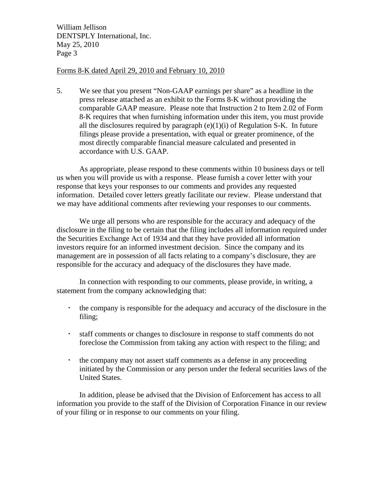William Jellison DENTSPLY International, Inc. May 25, 2010 Page 3

## Forms 8-K dated April 29, 2010 and February 10, 2010

5. We see that you present "Non-GAAP earnings per share" as a headline in the press release attached as an exhibit to the Forms 8-K without providing the comparable GAAP measure. Please note that Instruction 2 to Item 2.02 of Form 8-K requires that when furnishing information under this item, you must provide all the disclosures required by paragraph  $(e)(1)(i)$  of Regulation S-K. In future filings please provide a presentation, with equal or greater prominence, of the most directly comparable financial measure calculated and presented in accordance with U.S. GAAP.

 As appropriate, please respond to these comments within 10 business days or tell us when you will provide us with a response. Please furnish a cover letter with your response that keys your responses to our comments and provides any requested information. Detailed cover letters greatly facilitate our review. Please understand that we may have additional comments after reviewing your responses to our comments.

 We urge all persons who are responsible for the accuracy and adequacy of the disclosure in the filing to be certain that the filing includes all information required under the Securities Exchange Act of 1934 and that they have provided all information investors require for an informed investment decision. Since the company and its management are in possession of all facts relating to a company's disclosure, they are responsible for the accuracy and adequacy of the disclosures they have made.

 In connection with responding to our comments, please provide, in writing, a statement from the company acknowledging that:

- the company is responsible for the adequacy and accuracy of the disclosure in the filing;
- staff comments or changes to disclosure in response to staff comments do not foreclose the Commission from taking any action with respect to the filing; and
- the company may not assert staff comments as a defense in any proceeding initiated by the Commission or any person under the federal securities laws of the United States.

In addition, please be advised that the Division of Enforcement has access to all information you provide to the staff of the Division of Corporation Finance in our review of your filing or in response to our comments on your filing.